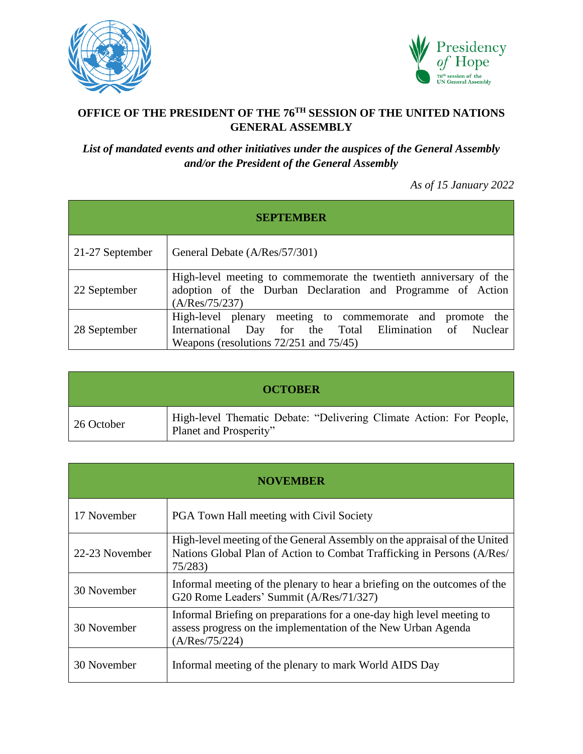



## **OFFICE OF THE PRESIDENT OF THE 76TH SESSION OF THE UNITED NATIONS GENERAL ASSEMBLY**

## *List of mandated events and other initiatives under the auspices of the General Assembly and/or the President of the General Assembly*

*As of 15 January 2022*

| <b>SEPTEMBER</b> |                                                                                                                                                                    |
|------------------|--------------------------------------------------------------------------------------------------------------------------------------------------------------------|
| 21-27 September  | General Debate (A/Res/57/301)                                                                                                                                      |
| 22 September     | High-level meeting to commemorate the twentieth anniversary of the<br>adoption of the Durban Declaration and Programme of Action<br>(A/Res/75/237)                 |
| 28 September     | High-level plenary meeting to commemorate and promote the<br>International Day for the Total Elimination of Nuclear<br>Weapons (resolutions $72/251$ and $75/45$ ) |

| <b>OCTOBER</b> |                                                                                               |
|----------------|-----------------------------------------------------------------------------------------------|
| 26 October     | High-level Thematic Debate: "Delivering Climate Action: For People,<br>Planet and Prosperity" |

| <b>NOVEMBER</b> |                                                                                                                                                               |
|-----------------|---------------------------------------------------------------------------------------------------------------------------------------------------------------|
| 17 November     | <b>PGA Town Hall meeting with Civil Society</b>                                                                                                               |
| 22-23 November  | High-level meeting of the General Assembly on the appraisal of the United<br>Nations Global Plan of Action to Combat Trafficking in Persons (A/Res/<br>75/283 |
| 30 November     | Informal meeting of the plenary to hear a briefing on the outcomes of the<br>G20 Rome Leaders' Summit (A/Res/71/327)                                          |
| 30 November     | Informal Briefing on preparations for a one-day high level meeting to<br>assess progress on the implementation of the New Urban Agenda<br>(A/Res/75/224)      |
| 30 November     | Informal meeting of the plenary to mark World AIDS Day                                                                                                        |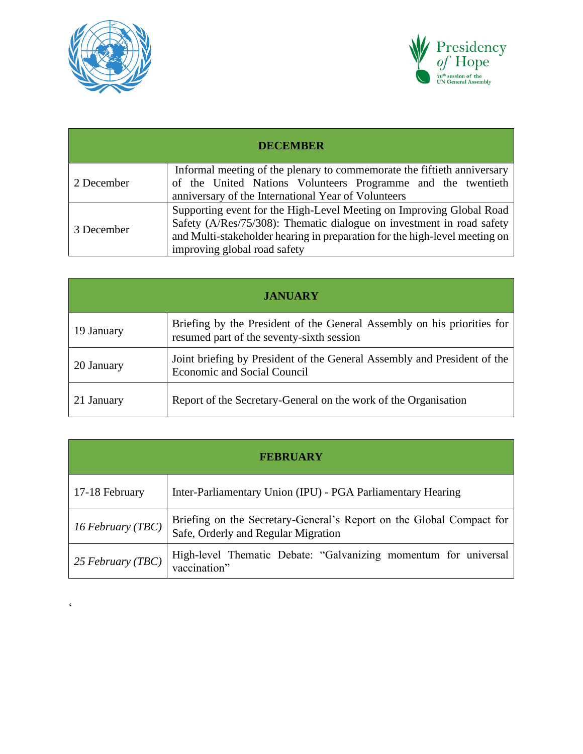

 $\hat{\zeta}$ 



| <b>DECEMBER</b> |                                                                                                                                                                                                                                                             |
|-----------------|-------------------------------------------------------------------------------------------------------------------------------------------------------------------------------------------------------------------------------------------------------------|
| 2 December      | Informal meeting of the plenary to commemorate the fiftieth anniversary<br>of the United Nations Volunteers Programme and the twentieth<br>anniversary of the International Year of Volunteers                                                              |
| 3 December      | Supporting event for the High-Level Meeting on Improving Global Road<br>Safety (A/Res/75/308): Thematic dialogue on investment in road safety<br>and Multi-stakeholder hearing in preparation for the high-level meeting on<br>improving global road safety |

| <b>JANUARY</b> |                                                                                                                      |
|----------------|----------------------------------------------------------------------------------------------------------------------|
| 19 January     | Briefing by the President of the General Assembly on his priorities for<br>resumed part of the seventy-sixth session |
| 20 January     | Joint briefing by President of the General Assembly and President of the<br><b>Economic and Social Council</b>       |
| 21 January     | Report of the Secretary-General on the work of the Organisation                                                      |

| <b>FEBRUARY</b>   |                                                                                                             |
|-------------------|-------------------------------------------------------------------------------------------------------------|
| 17-18 February    | Inter-Parliamentary Union (IPU) - PGA Parliamentary Hearing                                                 |
| 16 February (TBC) | Briefing on the Secretary-General's Report on the Global Compact for<br>Safe, Orderly and Regular Migration |
| 25 February (TBC) | High-level Thematic Debate: "Galvanizing momentum for universal<br>vaccination"                             |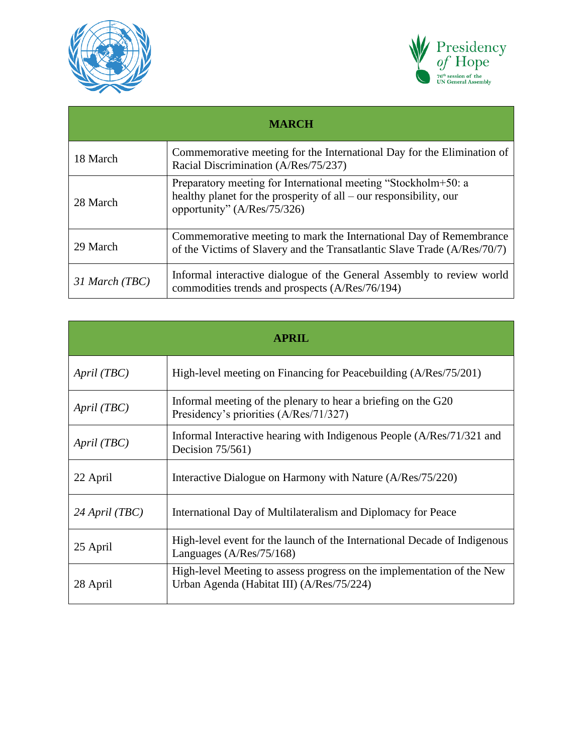



| <b>MARCH</b>   |                                                                                                                                                                     |
|----------------|---------------------------------------------------------------------------------------------------------------------------------------------------------------------|
| 18 March       | Commemorative meeting for the International Day for the Elimination of<br>Racial Discrimination (A/Res/75/237)                                                      |
| 28 March       | Preparatory meeting for International meeting "Stockholm+50: a<br>healthy planet for the prosperity of all – our responsibility, our<br>opportunity" (A/Res/75/326) |
| 29 March       | Commemorative meeting to mark the International Day of Remembrance<br>of the Victims of Slavery and the Transatlantic Slave Trade (A/Res/70/7)                      |
| 31 March (TBC) | Informal interactive dialogue of the General Assembly to review world<br>commodities trends and prospects (A/Res/76/194)                                            |

| <b>APRIL</b>   |                                                                                                                     |
|----------------|---------------------------------------------------------------------------------------------------------------------|
| April (TBC)    | High-level meeting on Financing for Peacebuilding (A/Res/75/201)                                                    |
| April (TBC)    | Informal meeting of the plenary to hear a briefing on the G20<br>Presidency's priorities (A/Res/71/327)             |
| April (TBC)    | Informal Interactive hearing with Indigenous People (A/Res/71/321 and<br>Decision $75/561$ )                        |
| 22 April       | Interactive Dialogue on Harmony with Nature (A/Res/75/220)                                                          |
| 24 April (TBC) | International Day of Multilateralism and Diplomacy for Peace                                                        |
| 25 April       | High-level event for the launch of the International Decade of Indigenous<br>Languages (A/Res/75/168)               |
| 28 April       | High-level Meeting to assess progress on the implementation of the New<br>Urban Agenda (Habitat III) (A/Res/75/224) |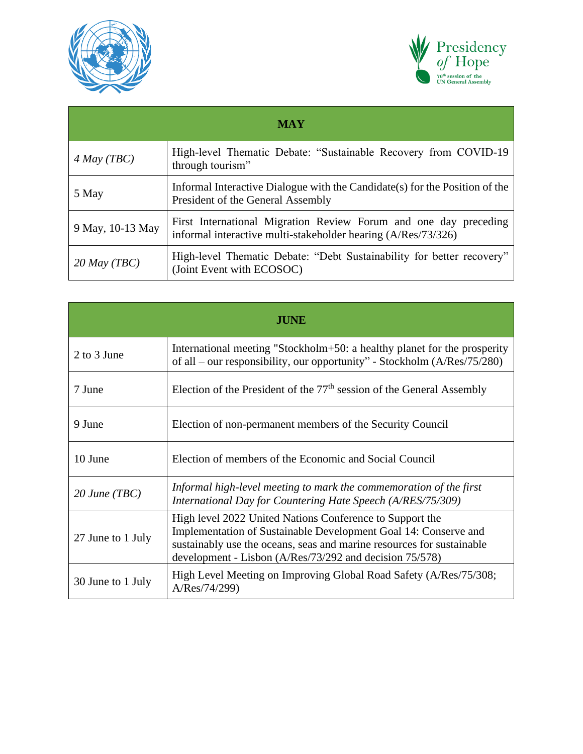



| <b>MAY</b>       |                                                                                                                                   |
|------------------|-----------------------------------------------------------------------------------------------------------------------------------|
| $4$ May (TBC)    | High-level Thematic Debate: "Sustainable Recovery from COVID-19<br>through tourism"                                               |
| 5 May            | Informal Interactive Dialogue with the Candidate (s) for the Position of the<br>President of the General Assembly                 |
| 9 May, 10-13 May | First International Migration Review Forum and one day preceding<br>informal interactive multi-stakeholder hearing (A/Res/73/326) |
| $20$ May (TBC)   | High-level Thematic Debate: "Debt Sustainability for better recovery"<br>(Joint Event with ECOSOC)                                |

| <b>JUNE</b>       |                                                                                                                                                                                                                                                                 |
|-------------------|-----------------------------------------------------------------------------------------------------------------------------------------------------------------------------------------------------------------------------------------------------------------|
| 2 to 3 June       | International meeting "Stockholm+50: a healthy planet for the prosperity<br>of all – our responsibility, our opportunity" - Stockholm $(A/Res/75/280)$                                                                                                          |
| 7 June            | Election of the President of the $77th$ session of the General Assembly                                                                                                                                                                                         |
| 9 June            | Election of non-permanent members of the Security Council                                                                                                                                                                                                       |
| 10 June           | Election of members of the Economic and Social Council                                                                                                                                                                                                          |
| $20$ June (TBC)   | Informal high-level meeting to mark the commemoration of the first<br>International Day for Countering Hate Speech (A/RES/75/309)                                                                                                                               |
| 27 June to 1 July | High level 2022 United Nations Conference to Support the<br>Implementation of Sustainable Development Goal 14: Conserve and<br>sustainably use the oceans, seas and marine resources for sustainable<br>development - Lisbon (A/Res/73/292 and decision 75/578) |
| 30 June to 1 July | High Level Meeting on Improving Global Road Safety (A/Res/75/308;<br>A/Res/74/299)                                                                                                                                                                              |